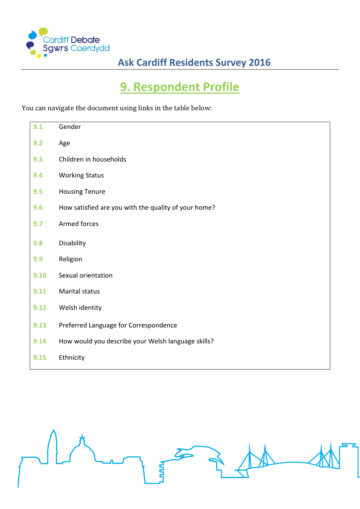

# **9. Respondent Profile**

You can navigate the document using links in the table below:

| 9.1  | Gender                                               |
|------|------------------------------------------------------|
| 9.2  | Age                                                  |
| 9.3  | Children in households                               |
| 9.4  | <b>Working Status</b>                                |
| 9.5  | <b>Housing Tenure</b>                                |
| 9.6  | How satisfied are you with the quality of your home? |
| 9.7  | Armed forces                                         |
| 9.8  | Disability                                           |
| 9.9  | Religion                                             |
| 9.10 | Sexual orientation                                   |
| 9.11 | Marital status                                       |
| 9.12 | Welsh identity                                       |
| 9.13 | Preferred Language for Correspondence                |
| 9.14 | How would you describe your Welsh language skills?   |
| 9.15 | Ethnicity                                            |

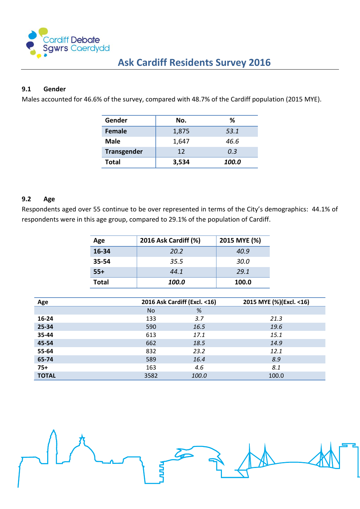

# <span id="page-1-0"></span>**9.1 Gender**

Males accounted for 46.6% of the survey, compared with 48.7% of the Cardiff population (2015 MYE).

| Gender             | No.   | ℅     |
|--------------------|-------|-------|
| Female             | 1,875 | 53.1  |
| <b>Male</b>        | 1,647 | 46.6  |
| <b>Transgender</b> | 12    | 0.3   |
| <b>Total</b>       | 3,534 | 100.0 |

#### <span id="page-1-1"></span>**9.2 Age**

Respondents aged over 55 continue to be over represented in terms of the City's demographics: 44.1% of respondents were in this age group, compared to 29.1% of the population of Cardiff.

| Age          | 2016 Ask Cardiff (%) | 2015 MYE (%) |
|--------------|----------------------|--------------|
| 16-34        | 20.2                 | 40.9         |
| $35 - 54$    | 35.5                 | 30.0         |
| $55+$        | 44.1                 | 29.1         |
| <b>Total</b> | 100.0                | 100.0        |

| Age          |           | 2016 Ask Cardiff (Excl. < 16) | 2015 MYE (%)(Excl. < 16) |
|--------------|-----------|-------------------------------|--------------------------|
|              | <b>No</b> | %                             |                          |
| $16 - 24$    | 133       | 3.7                           | 21.3                     |
| 25-34        | 590       | 16.5                          | 19.6                     |
| 35-44        | 613       | 17.1                          | 15.1                     |
| 45-54        | 662       | 18.5                          | 14.9                     |
| 55-64        | 832       | 23.2                          | 12.1                     |
| 65-74        | 589       | 16.4                          | 8.9                      |
| $75+$        | 163       | 4.6                           | 8.1                      |
| <b>TOTAL</b> | 3582      | 100.0                         | 100.0                    |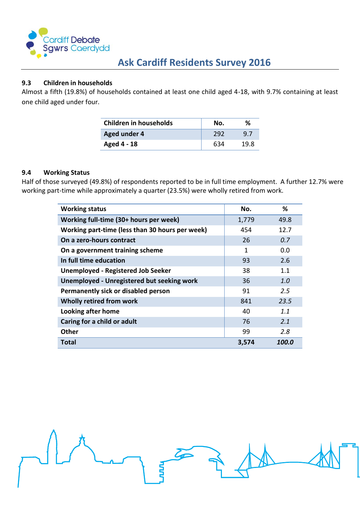

### <span id="page-2-0"></span>**9.3 Children in households**

Almost a fifth (19.8%) of households contained at least one child aged 4-18, with 9.7% containing at least one child aged under four.

| Children in households | No. | %    |
|------------------------|-----|------|
| Aged under 4           | 292 | 97   |
| Aged 4 - 18            | 634 | 19 R |

#### <span id="page-2-1"></span>**9.4 Working Status**

Half of those surveyed (49.8%) of respondents reported to be in full time employment. A further 12.7% were working part-time while approximately a quarter (23.5%) were wholly retired from work.

| <b>Working status</b>                           | No.          | %     |
|-------------------------------------------------|--------------|-------|
| Working full-time (30+ hours per week)          | 1,779        | 49.8  |
| Working part-time (less than 30 hours per week) | 454          | 12.7  |
| On a zero-hours contract                        | 26           | 0.7   |
| On a government training scheme                 | $\mathbf{1}$ | 0.0   |
| In full time education                          | 93           | 2.6   |
| <b>Unemployed - Registered Job Seeker</b>       | 38           | 1.1   |
| Unemployed - Unregistered but seeking work      | 36           | 1.0   |
| Permanently sick or disabled person             | 91           | 2.5   |
| Wholly retired from work                        | 841          | 23.5  |
| <b>Looking after home</b>                       | 40           | 1.1   |
| Caring for a child or adult                     | 76           | 2.1   |
| <b>Other</b>                                    | 99           | 2.8   |
| Total                                           | 3,574        | 100.0 |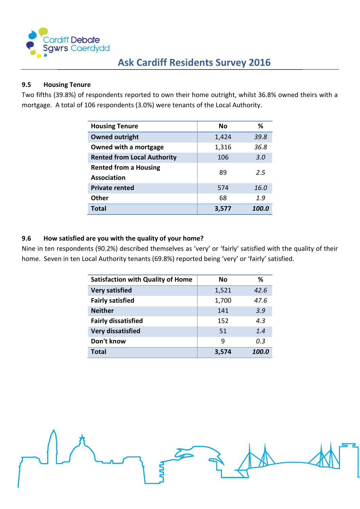

# <span id="page-3-0"></span>**9.5 Housing Tenure**

Two fifths (39.8%) of respondents reported to own their home outright, whilst 36.8% owned theirs with a mortgage. A total of 106 respondents (3.0%) were tenants of the Local Authority.

| <b>Housing Tenure</b>                              | Nο    | %     |
|----------------------------------------------------|-------|-------|
| <b>Owned outright</b>                              | 1,424 | 39.8  |
| Owned with a mortgage                              | 1,316 | 36.8  |
| <b>Rented from Local Authority</b>                 | 106   | 3.0   |
| <b>Rented from a Housing</b><br><b>Association</b> | 89    | 2.5   |
| <b>Private rented</b>                              | 574   | 16.0  |
| <b>Other</b>                                       | 68    | 1.9   |
| <b>Total</b>                                       | 3,577 | 100.0 |

# <span id="page-3-1"></span>**9.6 How satisfied are you with the quality of your home?**

Nine in ten respondents (90.2%) described themselves as 'very' or 'fairly' satisfied with the quality of their home. Seven in ten Local Authority tenants (69.8%) reported being 'very' or 'fairly' satisfied.

| <b>Satisfaction with Quality of Home</b> | Nο    | ℅     |
|------------------------------------------|-------|-------|
| <b>Very satisfied</b>                    | 1,521 | 42.6  |
| <b>Fairly satisfied</b>                  | 1,700 | 47.6  |
| <b>Neither</b>                           | 141   | 3.9   |
| <b>Fairly dissatisfied</b>               | 152   | 4.3   |
| <b>Very dissatisfied</b>                 | 51    | 1.4   |
| Don't know                               | 9     | 0.3   |
| <b>Total</b>                             | 3.574 | 100.0 |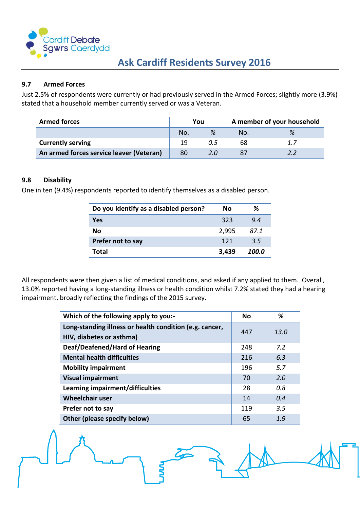

#### <span id="page-4-0"></span>**9.7 Armed Forces**

Just 2.5% of respondents were currently or had previously served in the Armed Forces; slightly more (3.9%) stated that a household member currently served or was a Veteran.

| <b>Armed forces</b>                      | You |     |     | A member of your household |
|------------------------------------------|-----|-----|-----|----------------------------|
|                                          | No. |     | No. | %                          |
| <b>Currently serving</b>                 | 19  | 0.5 | 68  | 1.7                        |
| An armed forces service leaver (Veteran) | 80  | 2.0 |     | 2 Z                        |

#### <span id="page-4-1"></span>**9.8 Disability**

One in ten (9.4%) respondents reported to identify themselves as a disabled person.

| Do you identify as a disabled person? | Nο    | ℅     |
|---------------------------------------|-------|-------|
| <b>Yes</b>                            | 323   | 9.4   |
| Nο                                    | 2,995 | 87.1  |
| Prefer not to say                     | 121   | 3.5   |
| Total                                 | 3,439 | 100.0 |

All respondents were then given a list of medical conditions, and asked if any applied to them. Overall, 13.0% reported having a long-standing illness or health condition whilst 7.2% stated they had a hearing impairment, broadly reflecting the findings of the 2015 survey.

| Which of the following apply to you:-                                               | <b>No</b> | %    |
|-------------------------------------------------------------------------------------|-----------|------|
| Long-standing illness or health condition (e.g. cancer,<br>HIV, diabetes or asthma) | 447       | 13.0 |
| Deaf/Deafened/Hard of Hearing                                                       | 248       | 7.2  |
| <b>Mental health difficulties</b>                                                   | 216       | 6.3  |
| <b>Mobility impairment</b>                                                          | 196       | 5.7  |
| <b>Visual impairment</b>                                                            | 70        | 2.0  |
| Learning impairment/difficulties                                                    | 28        | 0.8  |
| <b>Wheelchair user</b>                                                              | 14        | 0.4  |
| Prefer not to say                                                                   | 119       | 3.5  |
| Other (please specify below)                                                        | 65        | 1.9  |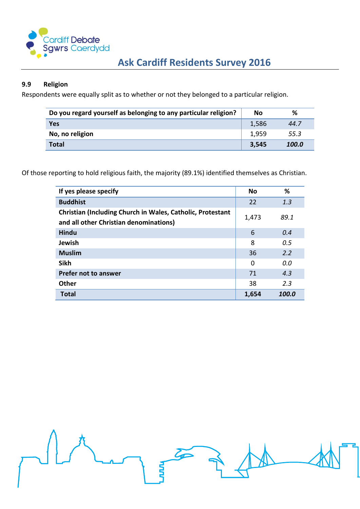

# <span id="page-5-0"></span>**9.9 Religion**

Respondents were equally split as to whether or not they belonged to a particular religion.

| Do you regard yourself as belonging to any particular religion? |       | %     |
|-----------------------------------------------------------------|-------|-------|
| Yes                                                             | 1,586 | 44.7  |
| No, no religion                                                 | 1,959 | 55.3  |
| <b>Total</b>                                                    | 3,545 | 100.0 |

Of those reporting to hold religious faith, the majority (89.1%) identified themselves as Christian.

**NAD** 

| If yes please specify                                                                                | <b>No</b> | ℅     |
|------------------------------------------------------------------------------------------------------|-----------|-------|
| <b>Buddhist</b>                                                                                      | 22        | 1.3   |
| Christian (Including Church in Wales, Catholic, Protestant<br>and all other Christian denominations) | 1,473     | 89.1  |
| Hindu                                                                                                | 6         | 0.4   |
| Jewish                                                                                               | 8         | 0.5   |
| <b>Muslim</b>                                                                                        | 36        | 2.2   |
| <b>Sikh</b>                                                                                          | $\Omega$  | 0.0   |
| <b>Prefer not to answer</b>                                                                          | 71        | 4.3   |
| Other                                                                                                | 38        | 2.3   |
| <b>Total</b>                                                                                         | 1,654     | 100.0 |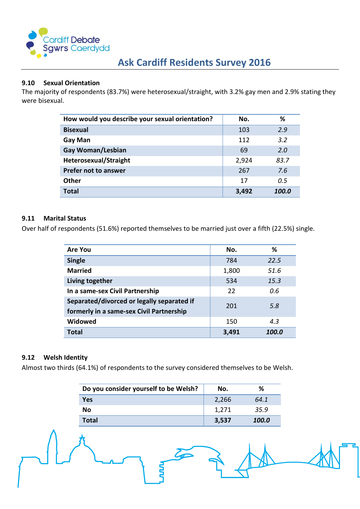

#### <span id="page-6-0"></span>**9.10 Sexual Orientation**

The majority of respondents (83.7%) were heterosexual/straight, with 3.2% gay men and 2.9% stating they were bisexual.

| How would you describe your sexual orientation? | No.   | ℅     |
|-------------------------------------------------|-------|-------|
| <b>Bisexual</b>                                 | 103   | 2.9   |
| <b>Gay Man</b>                                  | 112   | 3.2   |
| Gay Woman/Lesbian                               | 69    | 2.0   |
| <b>Heterosexual/Straight</b>                    | 2,924 | 83.7  |
| Prefer not to answer                            | 267   | 7.6   |
| <b>Other</b>                                    | 17    | 0.5   |
| <b>Total</b>                                    | 3,492 | 100.0 |

#### <span id="page-6-1"></span>**9.11 Marital Status**

Over half of respondents (51.6%) reported themselves to be married just over a fifth (22.5%) single.

| <b>Are You</b>                                                                         | No.   | ℅     |
|----------------------------------------------------------------------------------------|-------|-------|
| <b>Single</b>                                                                          | 784   | 22.5  |
| <b>Married</b>                                                                         | 1,800 | 51.6  |
| Living together                                                                        | 534   | 15.3  |
| In a same-sex Civil Partnership                                                        | 22    | 0.6   |
| Separated/divorced or legally separated if<br>formerly in a same-sex Civil Partnership | 201   | 5.8   |
| Widowed                                                                                | 150   | 4.3   |
| <b>Total</b>                                                                           | 3,491 | 100.0 |

#### <span id="page-6-2"></span>**9.12 Welsh Identity**

Almost two thirds (64.1%) of respondents to the survey considered themselves to be Welsh.

| Do you consider yourself to be Welsh? | No.   | ℅     |
|---------------------------------------|-------|-------|
| Yes                                   | 2,266 | 64.1  |
| No.                                   | 1,271 | 35.9  |
| <b>Total</b>                          | 3,537 | 100.0 |

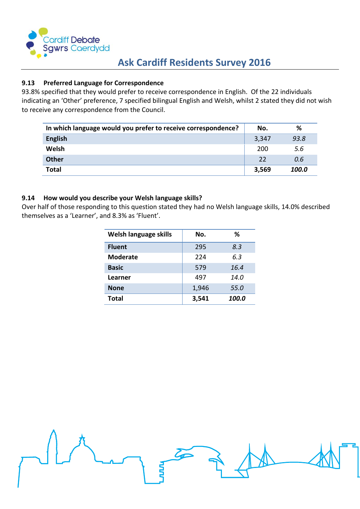

# <span id="page-7-0"></span>**9.13 Preferred Language for Correspondence**

93.8% specified that they would prefer to receive correspondence in English. Of the 22 individuals indicating an 'Other' preference, 7 specified bilingual English and Welsh, whilst 2 stated they did not wish to receive any correspondence from the Council.

| In which language would you prefer to receive correspondence? | No.   | %     |
|---------------------------------------------------------------|-------|-------|
| <b>English</b>                                                | 3,347 | 93.8  |
| Welsh                                                         | 200   | 5.6   |
| <b>Other</b>                                                  | 22    | 0.6   |
| <b>Total</b>                                                  | 3,569 | 100.0 |

#### **9.14 How would you describe your Welsh language skills?**

Over half of those responding to this question stated they had no Welsh language skills, 14.0% described themselves as a 'Learner', and 8.3% as 'Fluent'.

| Welsh language skills | No.   | ℅     |
|-----------------------|-------|-------|
| <b>Fluent</b>         | 295   | 8.3   |
| <b>Moderate</b>       | 224   | 6.3   |
| <b>Basic</b>          | 579   | 16.4  |
| Learner               | 497   | 14.0  |
| <b>None</b>           | 1,946 | 55.0  |
| <b>Total</b>          | 3,541 | 100.0 |